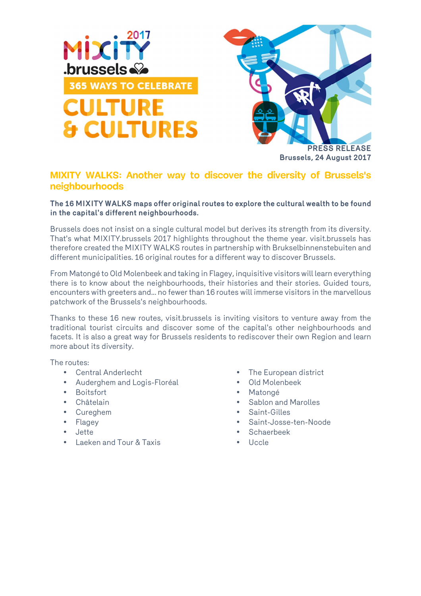



## **Brussels, 24 August 2017**

## **MIXITY WALKS: Another way to discover the diversity of Brussels's neighbourhoods**

## **The 16 MIXITY WALKS maps offer original routes to explore the cultural wealth to be found in the capital's different neighbourhoods.**

Brussels does not insist on a single cultural model but derives its strength from its diversity. That's what MIXITY.brussels 2017 highlights throughout the theme year. visit.brussels has therefore created the MIXITY WALKS routes in partnership with Brukselbinnenstebuiten and different municipalities. 16 original routes for a different way to discover Brussels.

From Matongé to Old Molenbeek and taking in Flagey, inquisitive visitors will learn everything there is to know about the neighbourhoods, their histories and their stories. Guided tours, encounters with greeters and... no fewer than 16 routes will immerse visitors in the marvellous patchwork of the Brussels's neighbourhoods.

Thanks to these 16 new routes, visit.brussels is inviting visitors to venture away from the traditional tourist circuits and discover some of the capital's other neighbourhoods and facets. It is also a great way for Brussels residents to rediscover their own Region and learn more about its diversity.

The routes:

- Central Anderlecht
- Auderghem and Logis-Floréal
- Boitsfort
- Châtelain
- Cureghem
- Flagey
- Jette
- Laeken and Tour & Taxis
- The European district
- Old Molenbeek
- Matongé
- Sablon and Marolles
- Saint-Gilles
- Saint-Josse-ten-Noode
	- Schaerbeek
- Uccle